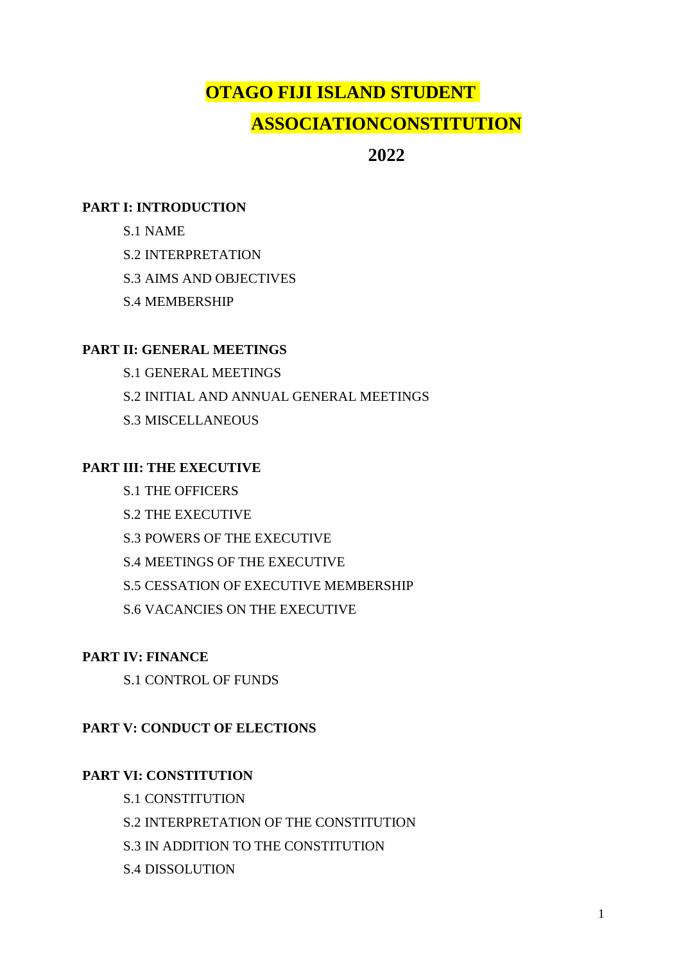# **OTAGO FIJI ISLAND STUDENT ASSOCIATIONCONSTITUTION**

# **2022**

### **PART I: INTRODUCTION**

- S.1 NAME
- S.2 INTERPRETATION
- S.3 AIMS AND OBJECTIVES
- S.4 MEMBERSHIP

### **PART II: GENERAL MEETINGS**

S.1 GENERAL MEETINGS S.2 INITIAL AND ANNUAL GENERAL MEETINGS S.3 MISCELLANEOUS

# **PART III: THE EXECUTIVE**

- S.1 THE OFFICERS
- S.2 THE EXECUTIVE
- S.3 POWERS OF THE EXECUTIVE
- S.4 MEETINGS OF THE EXECUTIVE
- S.5 CESSATION OF EXECUTIVE MEMBERSHIP
- S.6 VACANCIES ON THE EXECUTIVE

# **PART IV: FINANCE**

S.1 CONTROL OF FUNDS

# **PART V: CONDUCT OF ELECTIONS**

# **PART VI: CONSTITUTION**

- S.1 CONSTITUTION
- S.2 INTERPRETATION OF THE CONSTITUTION
- S.3 IN ADDITION TO THE CONSTITUTION
- S.4 DISSOLUTION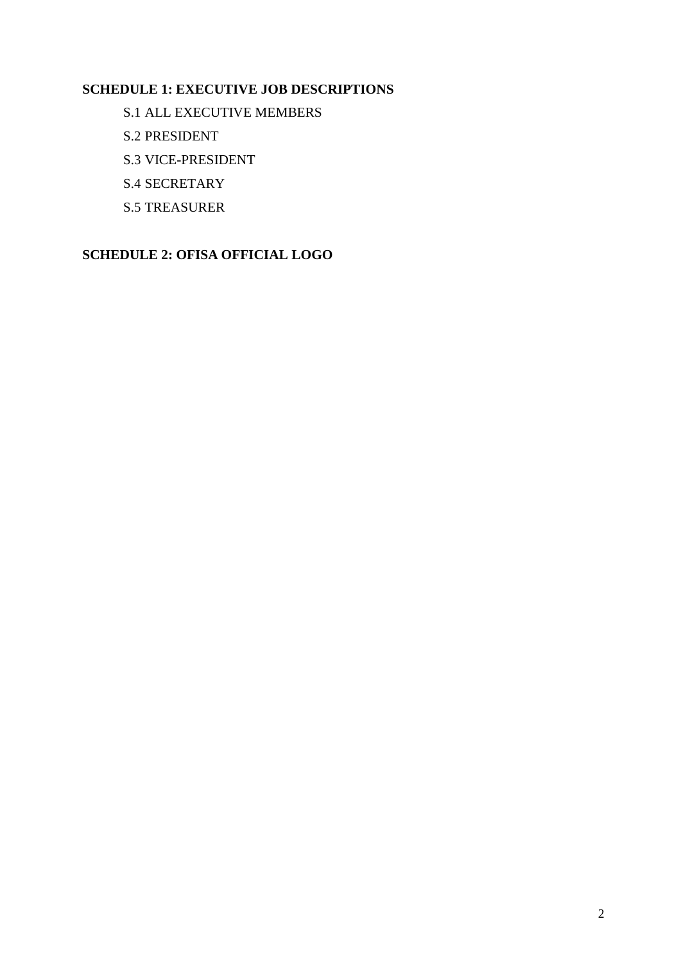### **SCHEDULE 1: EXECUTIVE JOB DESCRIPTIONS**

- S.1 ALL EXECUTIVE MEMBERS
- S.2 PRESIDENT
- S.3 VICE-PRESIDENT
- S.4 SECRETARY
- S.5 TREASURER

#### **SCHEDULE 2: OFISA OFFICIAL LOGO**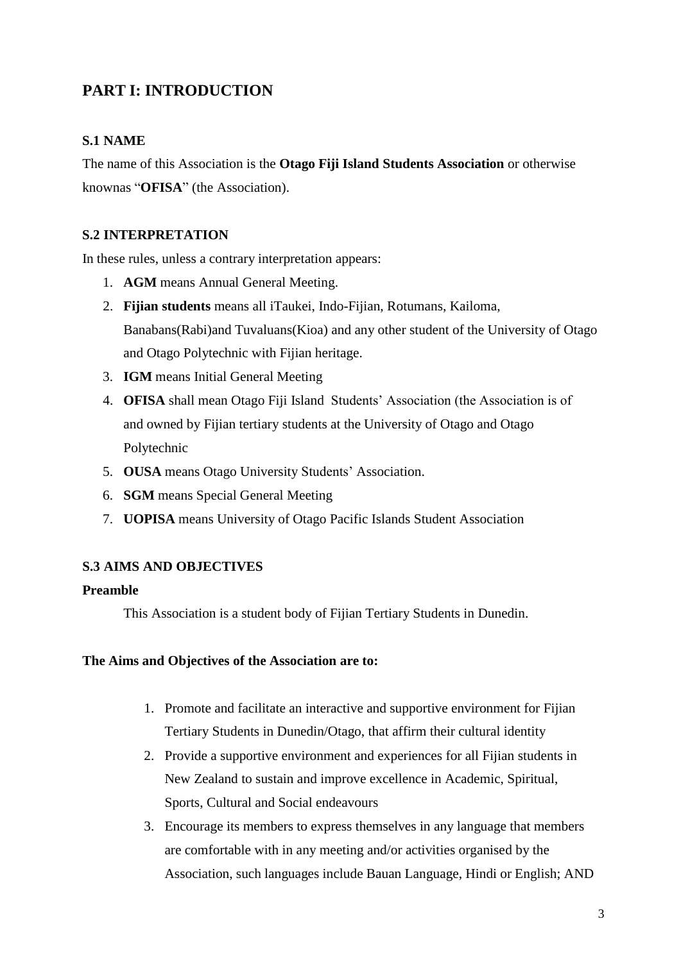# **PART I: INTRODUCTION**

#### **S.1 NAME**

The name of this Association is the **Otago Fiji Island Students Association** or otherwise knownas "**OFISA**" (the Association).

#### **S.2 INTERPRETATION**

In these rules, unless a contrary interpretation appears:

- 1. **AGM** means Annual General Meeting.
- 2. **Fijian students** means all iTaukei, Indo-Fijian, Rotumans, Kailoma, Banabans(Rabi)and Tuvaluans(Kioa) and any other student of the University of Otago and Otago Polytechnic with Fijian heritage.
- 3. **IGM** means Initial General Meeting
- 4. **OFISA** shall mean Otago Fiji Island Students' Association (the Association is of and owned by Fijian tertiary students at the University of Otago and Otago Polytechnic
- 5. **OUSA** means Otago University Students' Association.
- 6. **SGM** means Special General Meeting
- 7. **UOPISA** means University of Otago Pacific Islands Student Association

#### **S.3 AIMS AND OBJECTIVES**

#### **Preamble**

This Association is a student body of Fijian Tertiary Students in Dunedin.

#### **The Aims and Objectives of the Association are to:**

- 1. Promote and facilitate an interactive and supportive environment for Fijian Tertiary Students in Dunedin/Otago, that affirm their cultural identity
- 2. Provide a supportive environment and experiences for all Fijian students in New Zealand to sustain and improve excellence in Academic, Spiritual, Sports, Cultural and Social endeavours
- 3. Encourage its members to express themselves in any language that members are comfortable with in any meeting and/or activities organised by the Association, such languages include Bauan Language, Hindi or English; AND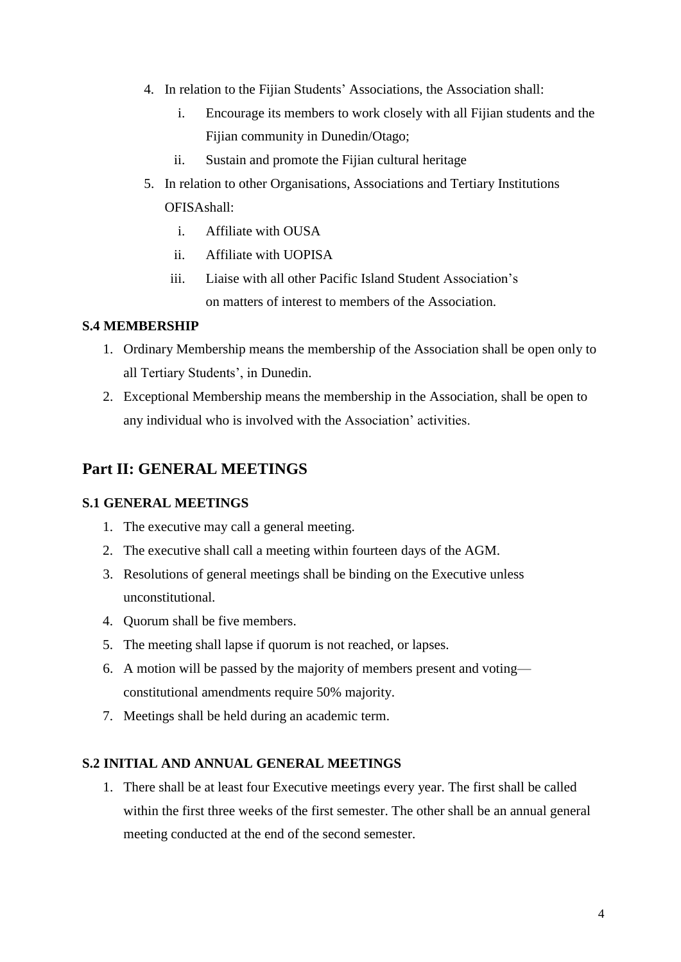- 4. In relation to the Fijian Students' Associations, the Association shall:
	- i. Encourage its members to work closely with all Fijian students and the Fijian community in Dunedin/Otago;
	- ii. Sustain and promote the Fijian cultural heritage
- 5. In relation to other Organisations, Associations and Tertiary Institutions OFISAshall:
	- i. Affiliate with OUSA
	- ii. Affiliate with UOPISA
	- iii. Liaise with all other Pacific Island Student Association's on matters of interest to members of the Association.

#### **S.4 MEMBERSHIP**

- 1. Ordinary Membership means the membership of the Association shall be open only to all Tertiary Students', in Dunedin.
- 2. Exceptional Membership means the membership in the Association, shall be open to any individual who is involved with the Association' activities.

### **Part II: GENERAL MEETINGS**

#### **S.1 GENERAL MEETINGS**

- 1. The executive may call a general meeting.
- 2. The executive shall call a meeting within fourteen days of the AGM.
- 3. Resolutions of general meetings shall be binding on the Executive unless unconstitutional.
- 4. Quorum shall be five members.
- 5. The meeting shall lapse if quorum is not reached, or lapses.
- 6. A motion will be passed by the majority of members present and voting constitutional amendments require 50% majority.
- 7. Meetings shall be held during an academic term.

#### **S.2 INITIAL AND ANNUAL GENERAL MEETINGS**

1. There shall be at least four Executive meetings every year. The first shall be called within the first three weeks of the first semester. The other shall be an annual general meeting conducted at the end of the second semester.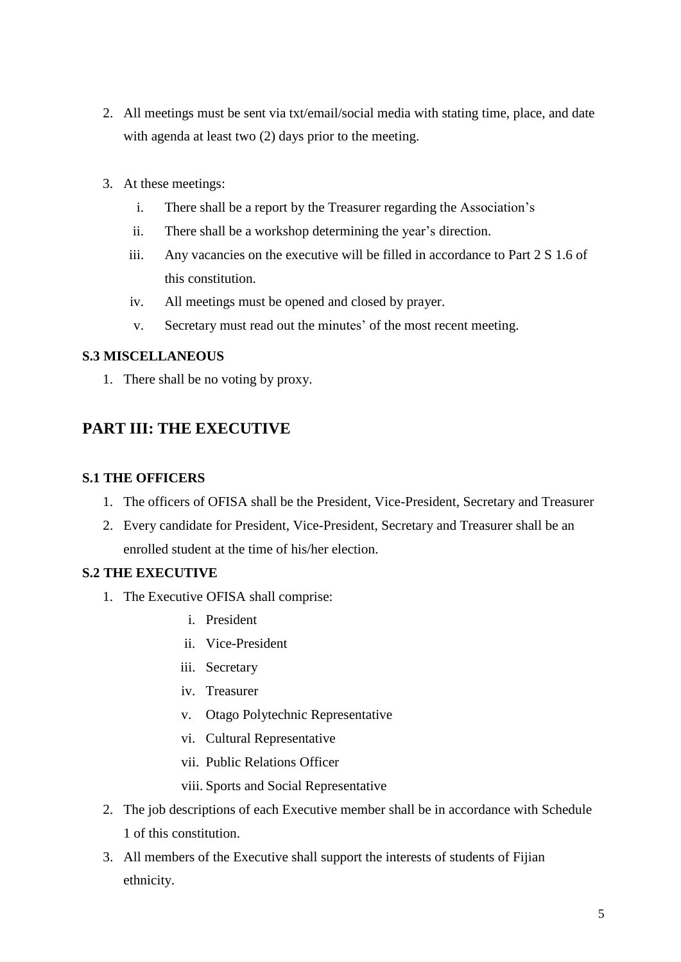- 2. All meetings must be sent via txt/email/social media with stating time, place, and date with agenda at least two  $(2)$  days prior to the meeting.
- 3. At these meetings:
	- i. There shall be a report by the Treasurer regarding the Association's
	- ii. There shall be a workshop determining the year's direction.
	- iii. Any vacancies on the executive will be filled in accordance to Part 2 S 1.6 of this constitution.
	- iv. All meetings must be opened and closed by prayer.
	- v. Secretary must read out the minutes' of the most recent meeting.

#### **S.3 MISCELLANEOUS**

1. There shall be no voting by proxy.

# **PART III: THE EXECUTIVE**

#### **S.1 THE OFFICERS**

- 1. The officers of OFISA shall be the President, Vice-President, Secretary and Treasurer
- 2. Every candidate for President, Vice-President, Secretary and Treasurer shall be an enrolled student at the time of his/her election.

#### **S.2 THE EXECUTIVE**

- 1. The Executive OFISA shall comprise:
	- i. President
	- ii. Vice-President
	- iii. Secretary
	- iv. Treasurer
	- v. Otago Polytechnic Representative
	- vi. Cultural Representative
	- vii. Public Relations Officer
	- viii. Sports and Social Representative
- 2. The job descriptions of each Executive member shall be in accordance with Schedule 1 of this constitution.
- 3. All members of the Executive shall support the interests of students of Fijian ethnicity.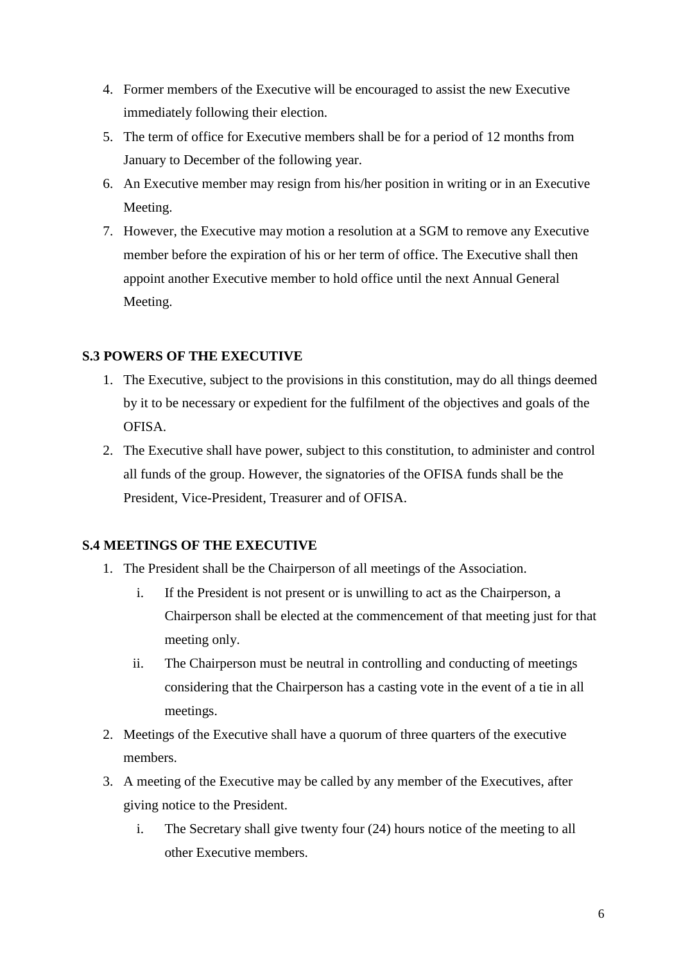- 4. Former members of the Executive will be encouraged to assist the new Executive immediately following their election.
- 5. The term of office for Executive members shall be for a period of 12 months from January to December of the following year.
- 6. An Executive member may resign from his/her position in writing or in an Executive Meeting.
- 7. However, the Executive may motion a resolution at a SGM to remove any Executive member before the expiration of his or her term of office. The Executive shall then appoint another Executive member to hold office until the next Annual General Meeting.

### **S.3 POWERS OF THE EXECUTIVE**

- 1. The Executive, subject to the provisions in this constitution, may do all things deemed by it to be necessary or expedient for the fulfilment of the objectives and goals of the OFISA.
- 2. The Executive shall have power, subject to this constitution, to administer and control all funds of the group. However, the signatories of the OFISA funds shall be the President, Vice-President, Treasurer and of OFISA.

#### **S.4 MEETINGS OF THE EXECUTIVE**

- 1. The President shall be the Chairperson of all meetings of the Association.
	- i. If the President is not present or is unwilling to act as the Chairperson, a Chairperson shall be elected at the commencement of that meeting just for that meeting only.
	- ii. The Chairperson must be neutral in controlling and conducting of meetings considering that the Chairperson has a casting vote in the event of a tie in all meetings.
- 2. Meetings of the Executive shall have a quorum of three quarters of the executive members.
- 3. A meeting of the Executive may be called by any member of the Executives, after giving notice to the President.
	- i. The Secretary shall give twenty four (24) hours notice of the meeting to all other Executive members.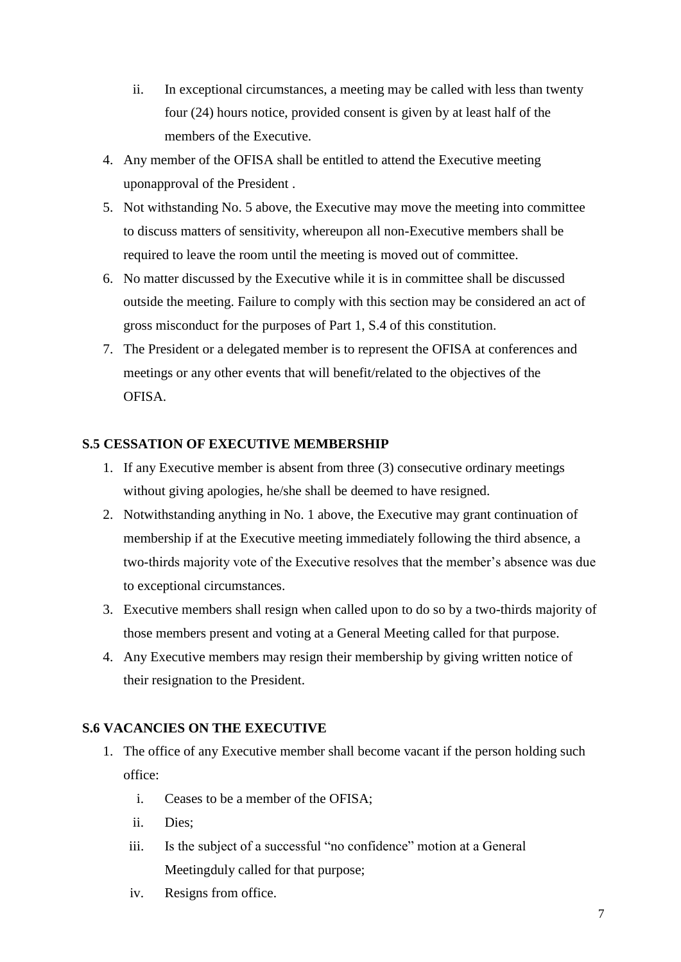- ii. In exceptional circumstances, a meeting may be called with less than twenty four (24) hours notice, provided consent is given by at least half of the members of the Executive.
- 4. Any member of the OFISA shall be entitled to attend the Executive meeting uponapproval of the President .
- 5. Not withstanding No. 5 above, the Executive may move the meeting into committee to discuss matters of sensitivity, whereupon all non-Executive members shall be required to leave the room until the meeting is moved out of committee.
- 6. No matter discussed by the Executive while it is in committee shall be discussed outside the meeting. Failure to comply with this section may be considered an act of gross misconduct for the purposes of Part 1, S.4 of this constitution.
- 7. The President or a delegated member is to represent the OFISA at conferences and meetings or any other events that will benefit/related to the objectives of the OFISA.

#### **S.5 CESSATION OF EXECUTIVE MEMBERSHIP**

- 1. If any Executive member is absent from three (3) consecutive ordinary meetings without giving apologies, he/she shall be deemed to have resigned.
- 2. Notwithstanding anything in No. 1 above, the Executive may grant continuation of membership if at the Executive meeting immediately following the third absence, a two-thirds majority vote of the Executive resolves that the member's absence was due to exceptional circumstances.
- 3. Executive members shall resign when called upon to do so by a two-thirds majority of those members present and voting at a General Meeting called for that purpose.
- 4. Any Executive members may resign their membership by giving written notice of their resignation to the President.

#### **S.6 VACANCIES ON THE EXECUTIVE**

- 1. The office of any Executive member shall become vacant if the person holding such office:
	- i. Ceases to be a member of the OFISA;
	- ii. Dies;
	- iii. Is the subject of a successful "no confidence" motion at a General Meetingduly called for that purpose;
	- iv. Resigns from office.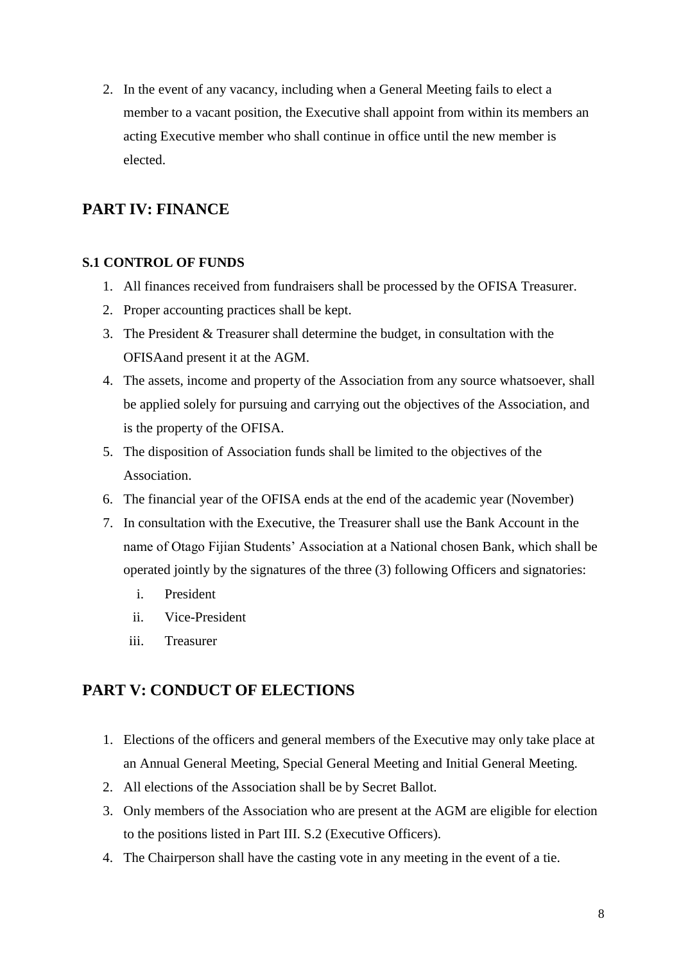2. In the event of any vacancy, including when a General Meeting fails to elect a member to a vacant position, the Executive shall appoint from within its members an acting Executive member who shall continue in office until the new member is elected.

# **PART IV: FINANCE**

#### **S.1 CONTROL OF FUNDS**

- 1. All finances received from fundraisers shall be processed by the OFISA Treasurer.
- 2. Proper accounting practices shall be kept.
- 3. The President & Treasurer shall determine the budget, in consultation with the OFISAand present it at the AGM.
- 4. The assets, income and property of the Association from any source whatsoever, shall be applied solely for pursuing and carrying out the objectives of the Association, and is the property of the OFISA.
- 5. The disposition of Association funds shall be limited to the objectives of the Association.
- 6. The financial year of the OFISA ends at the end of the academic year (November)
- 7. In consultation with the Executive, the Treasurer shall use the Bank Account in the name of Otago Fijian Students' Association at a National chosen Bank, which shall be operated jointly by the signatures of the three (3) following Officers and signatories:
	- i. President
	- ii. Vice-President
	- iii. Treasurer

# **PART V: CONDUCT OF ELECTIONS**

- 1. Elections of the officers and general members of the Executive may only take place at an Annual General Meeting, Special General Meeting and Initial General Meeting.
- 2. All elections of the Association shall be by Secret Ballot.
- 3. Only members of the Association who are present at the AGM are eligible for election to the positions listed in Part III. S.2 (Executive Officers).
- 4. The Chairperson shall have the casting vote in any meeting in the event of a tie.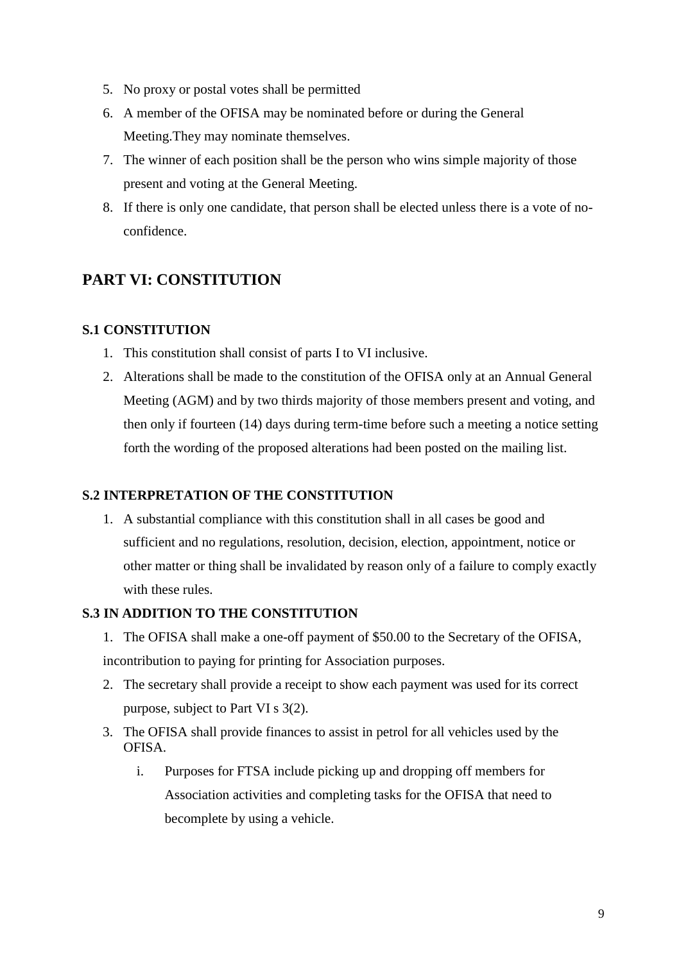- 5. No proxy or postal votes shall be permitted
- 6. A member of the OFISA may be nominated before or during the General Meeting.They may nominate themselves.
- 7. The winner of each position shall be the person who wins simple majority of those present and voting at the General Meeting.
- 8. If there is only one candidate, that person shall be elected unless there is a vote of noconfidence.

# **PART VI: CONSTITUTION**

### **S.1 CONSTITUTION**

- 1. This constitution shall consist of parts I to VI inclusive.
- 2. Alterations shall be made to the constitution of the OFISA only at an Annual General Meeting (AGM) and by two thirds majority of those members present and voting, and then only if fourteen (14) days during term-time before such a meeting a notice setting forth the wording of the proposed alterations had been posted on the mailing list.

#### **S.2 INTERPRETATION OF THE CONSTITUTION**

1. A substantial compliance with this constitution shall in all cases be good and sufficient and no regulations, resolution, decision, election, appointment, notice or other matter or thing shall be invalidated by reason only of a failure to comply exactly with these rules.

### **S.3 IN ADDITION TO THE CONSTITUTION**

- 1. The OFISA shall make a one-off payment of \$50.00 to the Secretary of the OFISA, incontribution to paying for printing for Association purposes.
- 2. The secretary shall provide a receipt to show each payment was used for its correct purpose, subject to Part VI s 3(2).
- 3. The OFISA shall provide finances to assist in petrol for all vehicles used by the OFISA.
	- i. Purposes for FTSA include picking up and dropping off members for Association activities and completing tasks for the OFISA that need to becomplete by using a vehicle.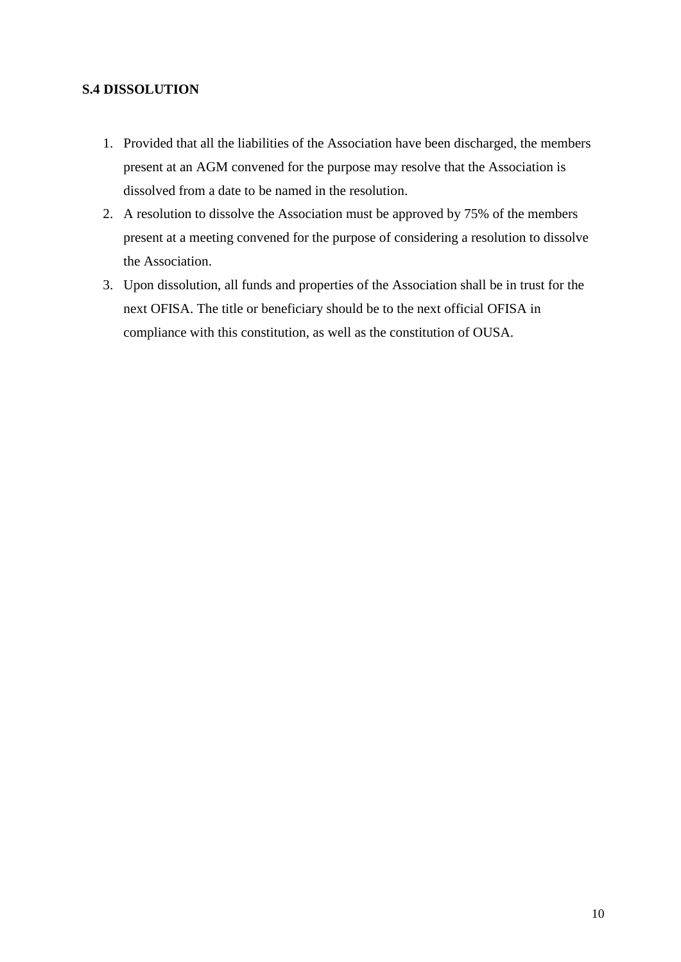#### **S.4 DISSOLUTION**

- 1. Provided that all the liabilities of the Association have been discharged, the members present at an AGM convened for the purpose may resolve that the Association is dissolved from a date to be named in the resolution.
- 2. A resolution to dissolve the Association must be approved by 75% of the members present at a meeting convened for the purpose of considering a resolution to dissolve the Association.
- 3. Upon dissolution, all funds and properties of the Association shall be in trust for the next OFISA. The title or beneficiary should be to the next official OFISA in compliance with this constitution, as well as the constitution of OUSA.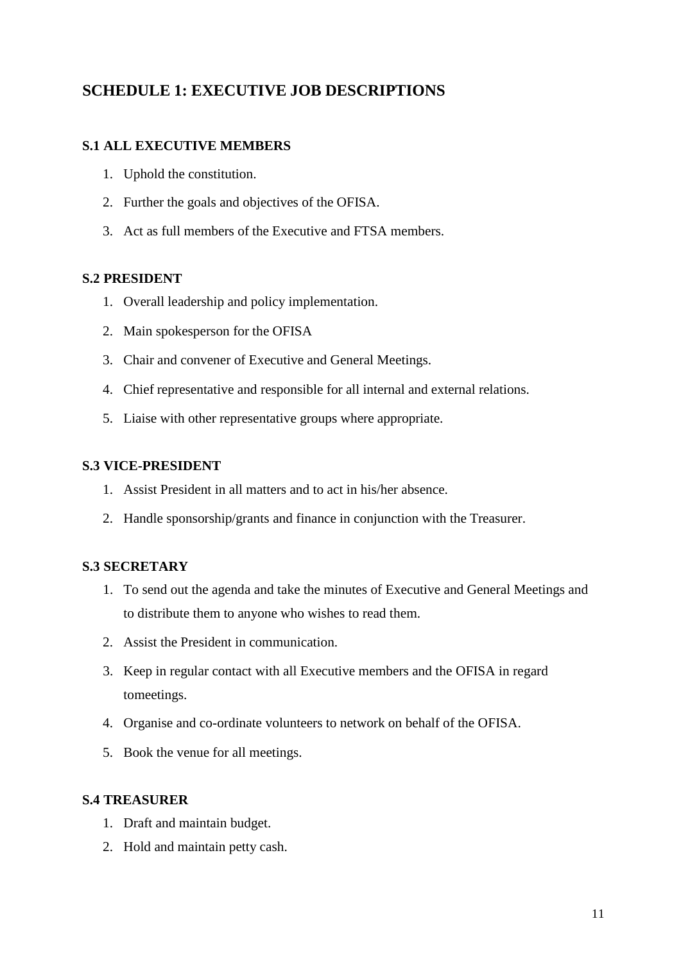# **SCHEDULE 1: EXECUTIVE JOB DESCRIPTIONS**

### **S.1 ALL EXECUTIVE MEMBERS**

- 1. Uphold the constitution.
- 2. Further the goals and objectives of the OFISA.
- 3. Act as full members of the Executive and FTSA members.

### **S.2 PRESIDENT**

- 1. Overall leadership and policy implementation.
- 2. Main spokesperson for the OFISA
- 3. Chair and convener of Executive and General Meetings.
- 4. Chief representative and responsible for all internal and external relations.
- 5. Liaise with other representative groups where appropriate.

### **S.3 VICE-PRESIDENT**

- 1. Assist President in all matters and to act in his/her absence.
- 2. Handle sponsorship/grants and finance in conjunction with the Treasurer.

### **S.3 SECRETARY**

- 1. To send out the agenda and take the minutes of Executive and General Meetings and to distribute them to anyone who wishes to read them.
- 2. Assist the President in communication.
- 3. Keep in regular contact with all Executive members and the OFISA in regard tomeetings.
- 4. Organise and co-ordinate volunteers to network on behalf of the OFISA.
- 5. Book the venue for all meetings.

#### **S.4 TREASURER**

- 1. Draft and maintain budget.
- 2. Hold and maintain petty cash.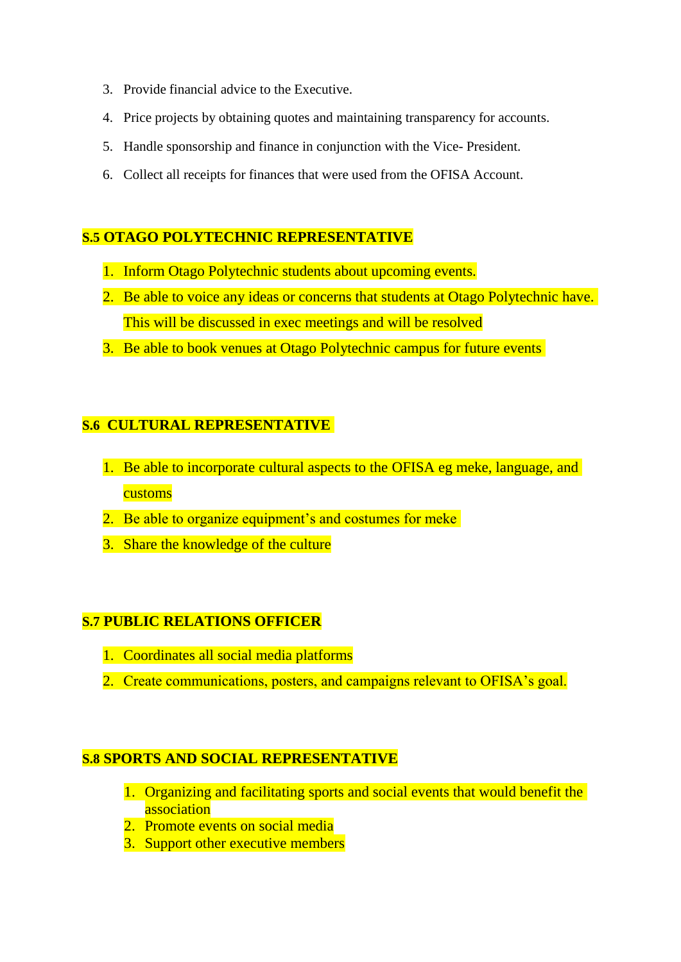- 3. Provide financial advice to the Executive.
- 4. Price projects by obtaining quotes and maintaining transparency for accounts.
- 5. Handle sponsorship and finance in conjunction with the Vice- President.
- 6. Collect all receipts for finances that were used from the OFISA Account.

### **S.5 OTAGO POLYTECHNIC REPRESENTATIVE**

- 1. Inform Otago Polytechnic students about upcoming events.
- 2. Be able to voice any ideas or concerns that students at Otago Polytechnic have. This will be discussed in exec meetings and will be resolved
- 3. Be able to book venues at Otago Polytechnic campus for future events

### **S.6 CULTURAL REPRESENTATIVE**

- 1. Be able to incorporate cultural aspects to the OFISA eg meke, language, and customs
- 2. Be able to organize equipment's and costumes for meke
- 3. Share the knowledge of the culture

# **S.7 PUBLIC RELATIONS OFFICER**

- 1. Coordinates all social media platforms
- 2. Create communications, posters, and campaigns relevant to OFISA's goal.

### **S.8 SPORTS AND SOCIAL REPRESENTATIVE**

- 1. Organizing and facilitating sports and social events that would benefit the association
- 2. Promote events on social media
- 3. Support other executive members